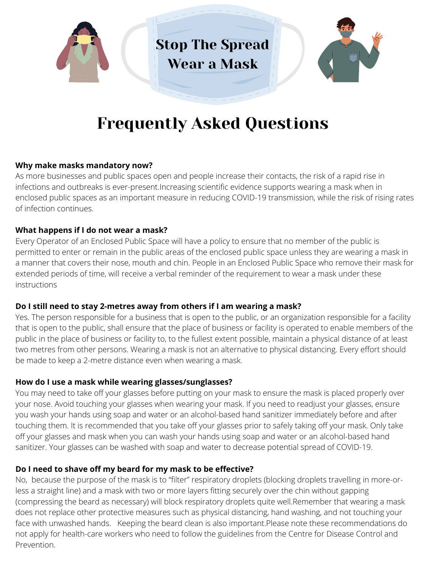

## Frequently Asked Questions

### **Why make masks mandatory now?**

As more businesses and public spaces open and people increase their contacts, the risk of a rapid rise in infections and outbreaks is ever-present.Increasing scientific evidence supports wearing a mask when in enclosed public spaces as an important measure in reducing COVID-19 transmission, while the risk of rising rates of infection continues.

### **What happens if I do not wear a mask?**

Every Operator of an Enclosed Public Space will have a policy to ensure that no member of the public is permitted to enter or remain in the public areas of the enclosed public space unless they are wearing a mask in a manner that covers their nose, mouth and chin. People in an Enclosed Public Space who remove their mask for extended periods of time, will receive a verbal reminder of the requirement to wear a mask under these instructions

### **Do I still need to stay 2-metres away from others if I am wearing a mask?**

Yes. The person responsible for a business that is open to the public, or an organization responsible for a facility that is open to the public, shall ensure that the place of business or facility is operated to enable members of the public in the place of business or facility to, to the fullest extent possible, maintain a physical distance of at least two metres from other persons. Wearing a mask is not an alternative to physical distancing. Every effort should be made to keep a 2-metre distance even when wearing a mask.

#### **How do I use a mask while wearing glasses/sunglasses?**

You may need to take off your glasses before putting on your mask to ensure the mask is placed properly over your nose. Avoid touching your glasses when wearing your mask. If you need to readjust your glasses, ensure you wash your hands using soap and water or an alcohol-based hand sanitizer immediately before and after touching them. It is recommended that you take off your glasses prior to safely taking off your mask. Only take off your glasses and mask when you can wash your hands using soap and water or an alcohol-based hand sanitizer. Your glasses can be washed with soap and water to decrease potential spread of COVID-19.

### **Do I need to shave off my beard for my mask to be effective?**

No, because the purpose of the mask is to "filter" respiratory droplets (blocking droplets travelling in more-orless a straight line) and a mask with two or more layers fitting securely over the chin without gapping (compressing the beard as necessary) will block respiratory droplets quite well.Remember that wearing a mask does not replace other protective measures such as physical distancing, hand washing, and not touching your face with unwashed hands. Keeping the beard clean is also important.Please note these recommendations do not apply for health-care workers who need to follow the guidelines from the Centre for Disease Control and Prevention.